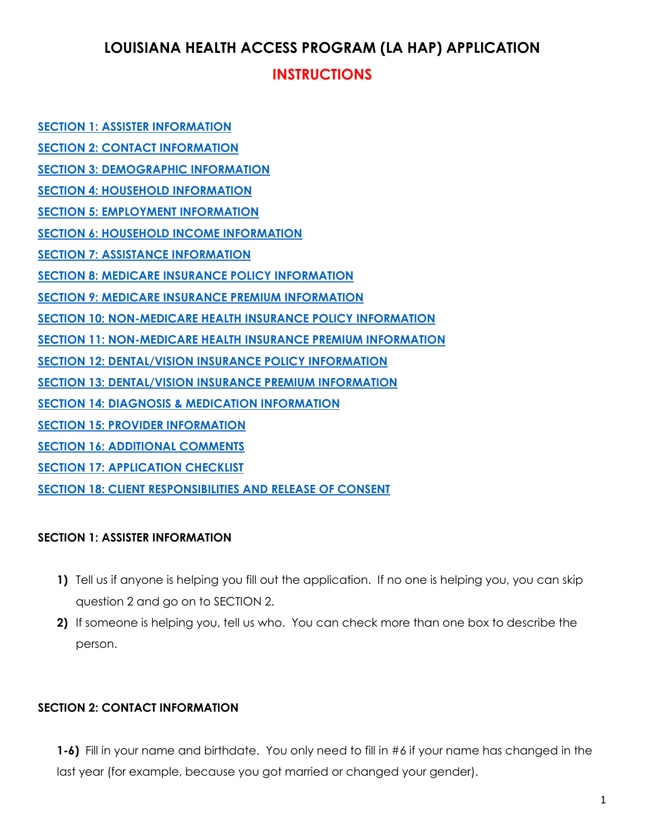# **LOUISIANA HEALTH ACCESS PROGRAM (LA HAP) APPLICATION**

## **INSTRUCTIONS**

**[SECTION 1: ASSISTER INFORMATION](#page-0-0) [SECTION 2: CONTACT INFORMATION](#page-0-1) [SECTION 3: DEMOGRAPHIC INFORMATION](#page-1-0) [SECTION 4: HOUSEHOLD INFORMATION](#page-2-0) [SECTION 5: EMPLOYMENT INFORMATION](#page-3-0) [SECTION 6: HOUSEHOLD INCOME INFORMATION](#page-3-1) [SECTION 7: ASSISTANCE INFORMATION](#page-4-0) [SECTION 8: MEDICARE INSURANCE POLICY INFORMATION](#page-5-0) [SECTION 9: MEDICARE INSURANCE PREMIUM INFORMATION](#page-6-0) [SECTION 10: NON-MEDICARE HEALTH INSURANCE POLICY INFORMATION](#page-6-1) [SECTION 11: NON-MEDICARE HEALTH INSURANCE PREMIUM INFORMATION](#page-7-0) [SECTION 12: DENTAL/VISION INSURANCE POLICY INFORMATION](#page-7-1) [SECTION 13: DENTAL/VISION INSURANCE PREMIUM INFORMATION](#page-7-2) [SECTION 14: DIAGNOSIS & MEDICATION INFORMATION](#page-7-3) [SECTION 15: PROVIDER INFORMATION](#page-8-0) [SECTION 16: ADDITIONAL COMMENTS](#page-8-1) [SECTION 17: APPLICATION CHECKLIST](#page-8-2) [SECTION 18: CLIENT RESPONSIBILITIES AND RELEASE OF CONSENT](#page-8-3)**

### <span id="page-0-0"></span>**SECTION 1: ASSISTER INFORMATION**

- **1)** Tell us if anyone is helping you fill out the application. If no one is helping you, you can skip question 2 and go on to SECTION 2.
- **2)** If someone is helping you, tell us who. You can check more than one box to describe the person.

## <span id="page-0-1"></span>**SECTION 2: CONTACT INFORMATION**

**1-6)** Fill in your name and birthdate. You only need to fill in #6 if your name has changed in the last year (for example, because you got married or changed your gender).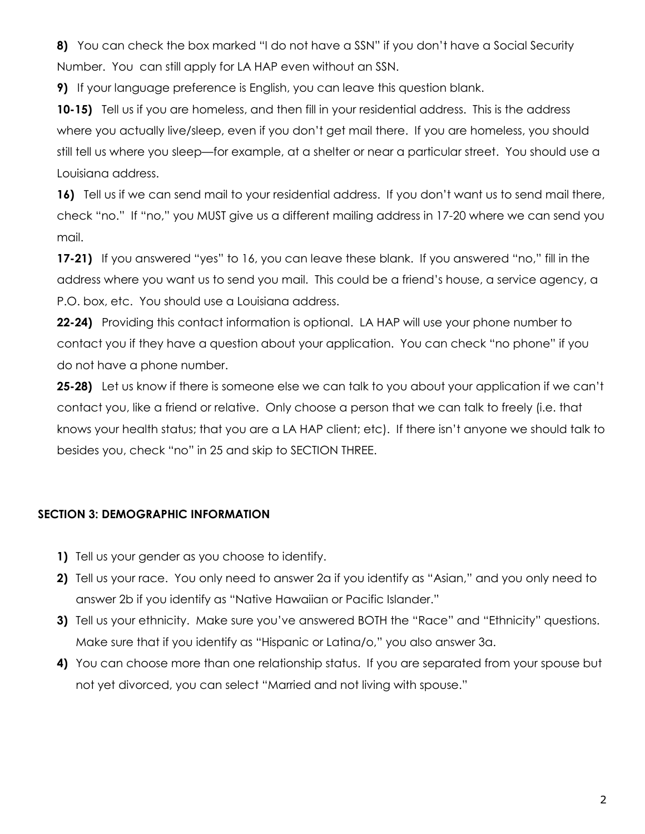**8)** You can check the box marked "I do not have a SSN" if you don't have a Social Security Number. You can still apply for LA HAP even without an SSN.

**9)** If your language preference is English, you can leave this question blank.

**10-15)** Tell us if you are homeless, and then fill in your residential address. This is the address where you actually live/sleep, even if you don't get mail there. If you are homeless, you should still tell us where you sleep—for example, at a shelter or near a particular street. You should use a Louisiana address.

**16)** Tell us if we can send mail to your residential address. If you don't want us to send mail there, check "no." If "no," you MUST give us a different mailing address in 17-20 where we can send you mail.

**17-21)** If you answered "yes" to 16, you can leave these blank. If you answered "no," fill in the address where you want us to send you mail. This could be a friend's house, a service agency, a P.O. box, etc. You should use a Louisiana address.

**22-24)** Providing this contact information is optional. LA HAP will use your phone number to contact you if they have a question about your application. You can check "no phone" if you do not have a phone number.

**25-28)** Let us know if there is someone else we can talk to you about your application if we can't contact you, like a friend or relative. Only choose a person that we can talk to freely (i.e. that knows your health status; that you are a LA HAP client; etc). If there isn't anyone we should talk to besides you, check "no" in 25 and skip to SECTION THREE.

#### <span id="page-1-0"></span>**SECTION 3: DEMOGRAPHIC INFORMATION**

- **1)** Tell us your gender as you choose to identify.
- **2)** Tell us your race. You only need to answer 2a if you identify as "Asian," and you only need to answer 2b if you identify as "Native Hawaiian or Pacific Islander."
- **3)** Tell us your ethnicity. Make sure you've answered BOTH the "Race" and "Ethnicity" questions. Make sure that if you identify as "Hispanic or Latina/o," you also answer 3a.
- **4)** You can choose more than one relationship status. If you are separated from your spouse but not yet divorced, you can select "Married and not living with spouse."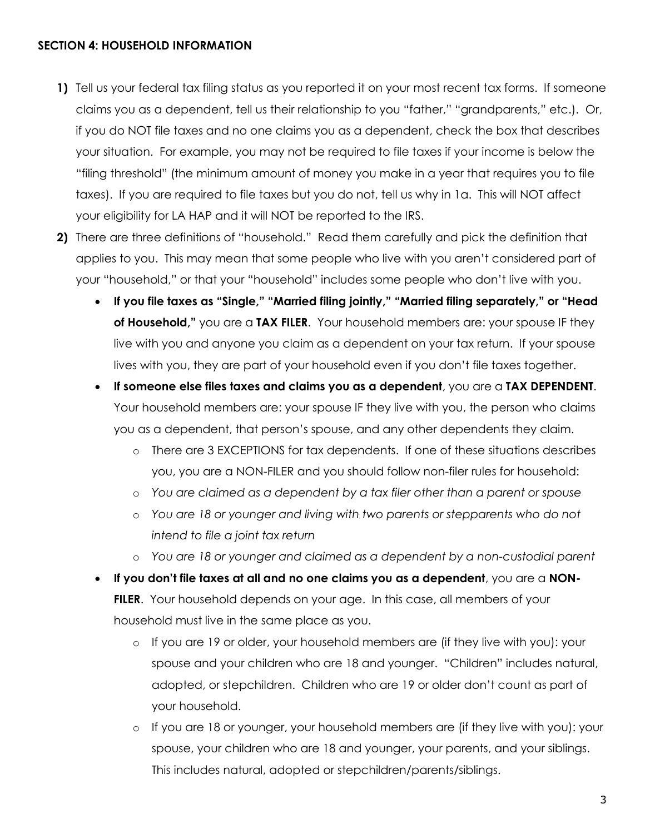#### <span id="page-2-0"></span>**SECTION 4: HOUSEHOLD INFORMATION**

- **1)** Tell us your federal tax filing status as you reported it on your most recent tax forms. If someone claims you as a dependent, tell us their relationship to you "father," "grandparents," etc.). Or, if you do NOT file taxes and no one claims you as a dependent, check the box that describes your situation. For example, you may not be required to file taxes if your income is below the "filing threshold" (the minimum amount of money you make in a year that requires you to file taxes). If you are required to file taxes but you do not, tell us why in 1a. This will NOT affect your eligibility for LA HAP and it will NOT be reported to the IRS.
- **2)** There are three definitions of "household." Read them carefully and pick the definition that applies to you. This may mean that some people who live with you aren't considered part of your "household," or that your "household" includes some people who don't live with you.
	- **If you file taxes as "Single," "Married filing jointly," "Married filing separately," or "Head of Household,"** you are a **TAX FILER**. Your household members are: your spouse IF they live with you and anyone you claim as a dependent on your tax return. If your spouse lives with you, they are part of your household even if you don't file taxes together.
	- **If someone else files taxes and claims you as a dependent**, you are a **TAX DEPENDENT**. Your household members are: your spouse IF they live with you, the person who claims you as a dependent, that person's spouse, and any other dependents they claim.
		- o There are 3 EXCEPTIONS for tax dependents. If one of these situations describes you, you are a NON-FILER and you should follow non-filer rules for household:
		- o *You are claimed as a dependent by a tax filer other than a parent or spouse*
		- o *You are 18 or younger and living with two parents or stepparents who do not intend to file a joint tax return*
		- o *You are 18 or younger and claimed as a dependent by a non-custodial parent*
	- **If you don't file taxes at all and no one claims you as a dependent**, you are a **NON**-**FILER**. Your household depends on your age. In this case, all members of your household must live in the same place as you.
		- o If you are 19 or older, your household members are (if they live with you): your spouse and your children who are 18 and younger. "Children" includes natural, adopted, or stepchildren. Children who are 19 or older don't count as part of your household.
		- o If you are 18 or younger, your household members are (if they live with you): your spouse, your children who are 18 and younger, your parents, and your siblings. This includes natural, adopted or stepchildren/parents/siblings.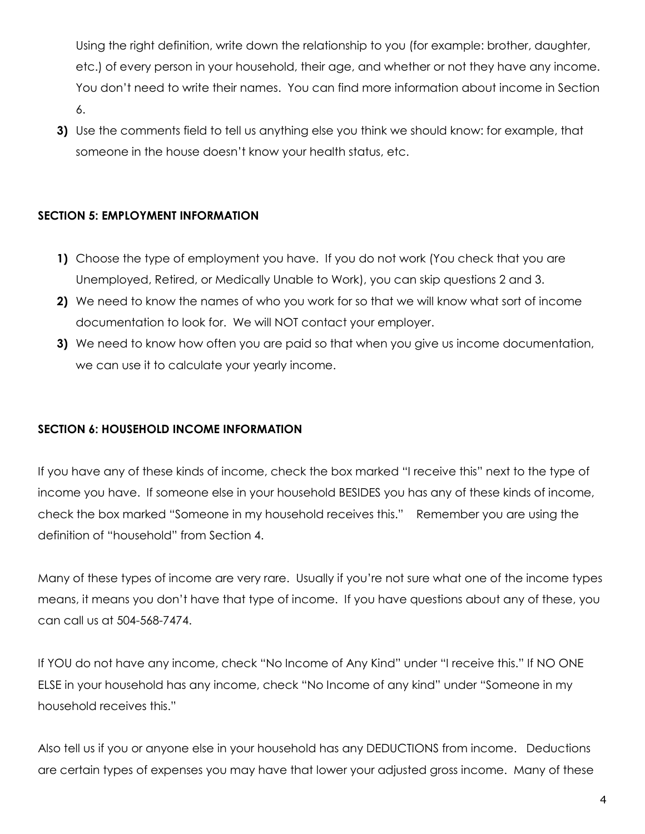Using the right definition, write down the relationship to you (for example: brother, daughter, etc.) of every person in your household, their age, and whether or not they have any income. You don't need to write their names. You can find more information about income in Section 6.

**3)** Use the comments field to tell us anything else you think we should know: for example, that someone in the house doesn't know your health status, etc.

### <span id="page-3-0"></span>**SECTION 5: EMPLOYMENT INFORMATION**

- **1)** Choose the type of employment you have. If you do not work (You check that you are Unemployed, Retired, or Medically Unable to Work), you can skip questions 2 and 3.
- **2)** We need to know the names of who you work for so that we will know what sort of income documentation to look for. We will NOT contact your employer.
- **3)** We need to know how often you are paid so that when you give us income documentation, we can use it to calculate your yearly income.

### <span id="page-3-1"></span>**SECTION 6: HOUSEHOLD INCOME INFORMATION**

If you have any of these kinds of income, check the box marked "I receive this" next to the type of income you have. If someone else in your household BESIDES you has any of these kinds of income, check the box marked "Someone in my household receives this." Remember you are using the definition of "household" from Section 4.

Many of these types of income are very rare. Usually if you're not sure what one of the income types means, it means you don't have that type of income. If you have questions about any of these, you can call us at 504-568-7474.

If YOU do not have any income, check "No Income of Any Kind" under "I receive this." If NO ONE ELSE in your household has any income, check "No Income of any kind" under "Someone in my household receives this."

Also tell us if you or anyone else in your household has any DEDUCTIONS from income. Deductions are certain types of expenses you may have that lower your adjusted gross income. Many of these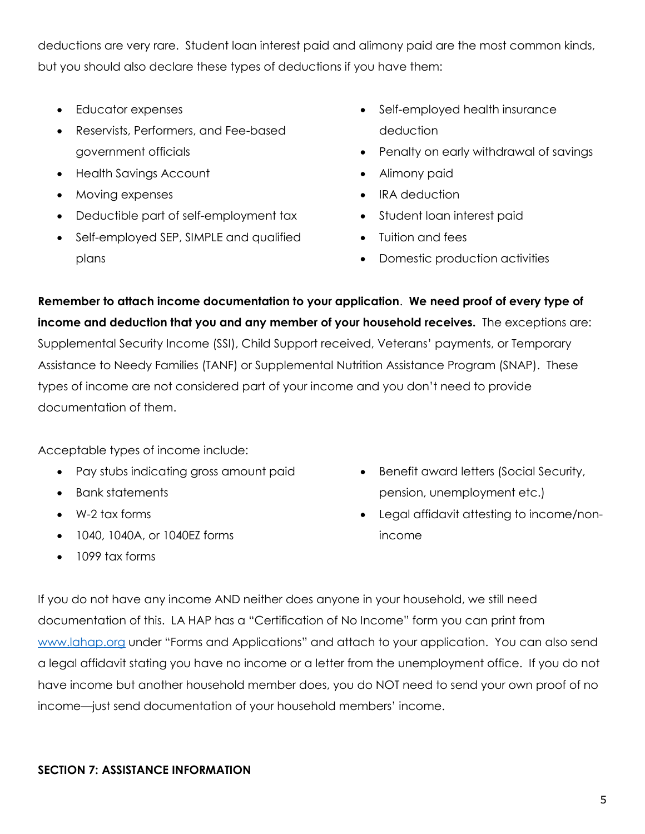deductions are very rare. Student loan interest paid and alimony paid are the most common kinds, but you should also declare these types of deductions if you have them:

- Educator expenses
- Reservists, Performers, and Fee-based government officials
- Health Savings Account
- Moving expenses
- Deductible part of self-employment tax
- Self-employed SEP, SIMPLE and qualified plans
- Self-employed health insurance deduction
- Penalty on early withdrawal of savings
- Alimony paid
- IRA deduction
- Student loan interest paid
- Tuition and fees
- Domestic production activities

**Remember to attach income documentation to your application**. **We need proof of every type of income and deduction that you and any member of your household receives.** The exceptions are: Supplemental Security Income (SSI), Child Support received, Veterans' payments, or Temporary Assistance to Needy Families (TANF) or Supplemental Nutrition Assistance Program (SNAP). These types of income are not considered part of your income and you don't need to provide documentation of them.

Acceptable types of income include:

- Pay stubs indicating gross amount paid
- Bank statements
- W-2 tax forms
- 1040, 1040A, or 1040EZ forms
- 1099 tax forms
- Benefit award letters (Social Security, pension, unemployment etc.)
- Legal affidavit attesting to income/nonincome

If you do not have any income AND neither does anyone in your household, we still need documentation of this. LA HAP has a "Certification of No Income" form you can print from [www.lahap.org](http://www.lahap.org/) under "Forms and Applications" and attach to your application. You can also send a legal affidavit stating you have no income or a letter from the unemployment office. If you do not have income but another household member does, you do NOT need to send your own proof of no income—just send documentation of your household members' income.

#### <span id="page-4-0"></span>**SECTION 7: ASSISTANCE INFORMATION**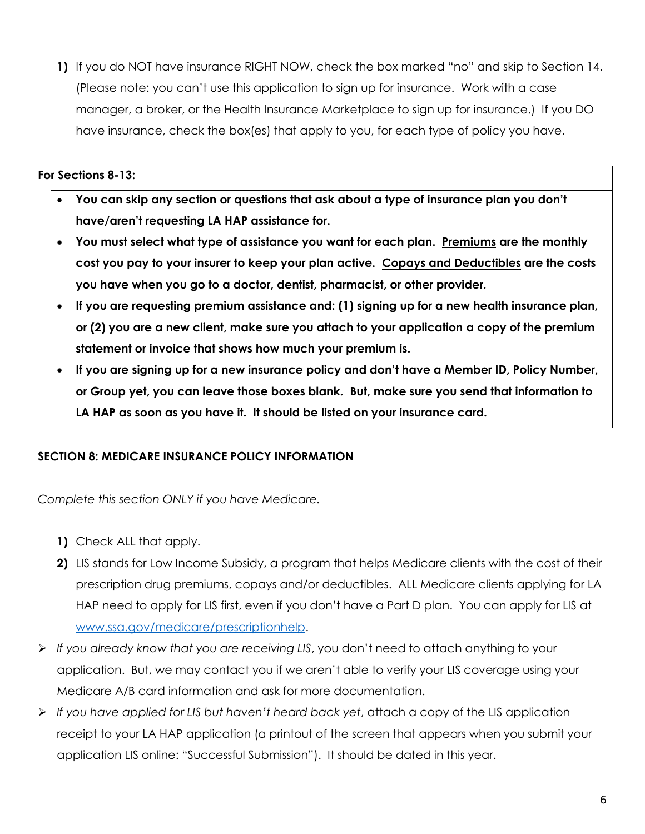**1)** If you do NOT have insurance RIGHT NOW, check the box marked "no" and skip to Section 14. (Please note: you can't use this application to sign up for insurance. Work with a case manager, a broker, or the Health Insurance Marketplace to sign up for insurance.) If you DO have insurance, check the box(es) that apply to you, for each type of policy you have.

#### **For Sections 8-13:**

- **You can skip any section or questions that ask about a type of insurance plan you don't have/aren't requesting LA HAP assistance for.**
- **You must select what type of assistance you want for each plan. Premiums are the monthly cost you pay to your insurer to keep your plan active. Copays and Deductibles are the costs you have when you go to a doctor, dentist, pharmacist, or other provider.**
- **If you are requesting premium assistance and: (1) signing up for a new health insurance plan, or (2) you are a new client, make sure you attach to your application a copy of the premium statement or invoice that shows how much your premium is.**
- **If you are signing up for a new insurance policy and don't have a Member ID, Policy Number, or Group yet, you can leave those boxes blank. But, make sure you send that information to LA HAP as soon as you have it. It should be listed on your insurance card.**

### <span id="page-5-0"></span>**SECTION 8: MEDICARE INSURANCE POLICY INFORMATION**

*Complete this section ONLY if you have Medicare.*

- **1)** Check ALL that apply.
- **2)** LIS stands for Low Income Subsidy, a program that helps Medicare clients with the cost of their prescription drug premiums, copays and/or deductibles. ALL Medicare clients applying for LA HAP need to apply for LIS first, even if you don't have a Part D plan. You can apply for LIS at [www.ssa.gov/medicare/prescriptionhelp.](file://///shp-r1-sf1/services/LA%20HAP/2016%20Online%20application/Working%20docs/www.ssa.gov/medicare/prescriptionhelp)
- *If you already know that you are receiving LIS*, you don't need to attach anything to your application. But, we may contact you if we aren't able to verify your LIS coverage using your Medicare A/B card information and ask for more documentation.
- *If you have applied for LIS but haven't heard back yet*, attach a copy of the LIS application receipt to your LA HAP application (a printout of the screen that appears when you submit your application LIS online: "Successful Submission"). It should be dated in this year.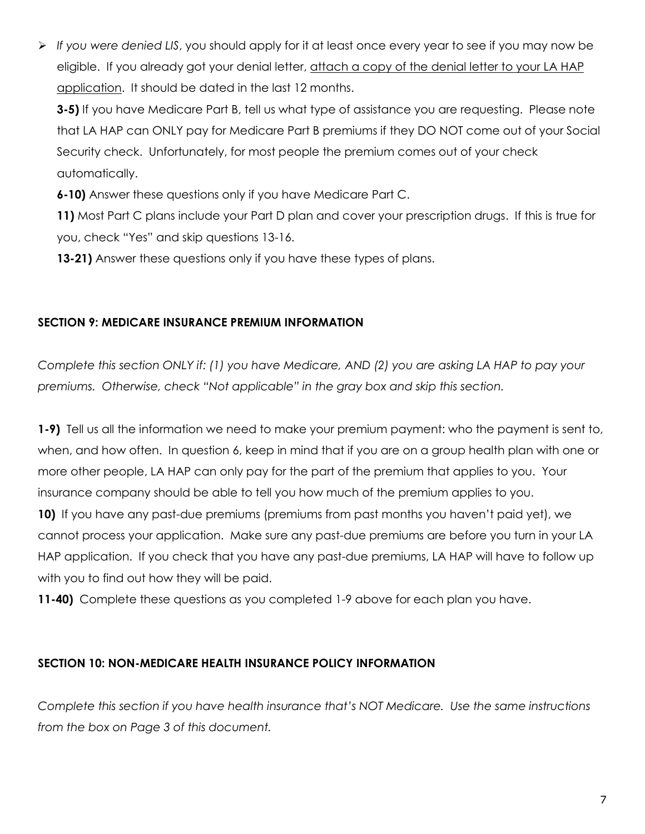*If you were denied LIS*, you should apply for it at least once every year to see if you may now be eligible. If you already got your denial letter, attach a copy of the denial letter to your LA HAP application. It should be dated in the last 12 months.

**3-5)** If you have Medicare Part B, tell us what type of assistance you are requesting. Please note that LA HAP can ONLY pay for Medicare Part B premiums if they DO NOT come out of your Social Security check. Unfortunately, for most people the premium comes out of your check automatically.

**6-10)** Answer these questions only if you have Medicare Part C.

**11)** Most Part C plans include your Part D plan and cover your prescription drugs. If this is true for you, check "Yes" and skip questions 13-16.

**13-21)** Answer these questions only if you have these types of plans.

## <span id="page-6-0"></span>**SECTION 9: MEDICARE INSURANCE PREMIUM INFORMATION**

*Complete this section ONLY if: (1) you have Medicare, AND (2) you are asking LA HAP to pay your premiums. Otherwise, check "Not applicable" in the gray box and skip this section.*

**1-9)** Tell us all the information we need to make your premium payment: who the payment is sent to, when, and how often. In question 6, keep in mind that if you are on a group health plan with one or more other people, LA HAP can only pay for the part of the premium that applies to you. Your insurance company should be able to tell you how much of the premium applies to you.

**10)** If you have any past-due premiums (premiums from past months you haven't paid yet), we cannot process your application. Make sure any past-due premiums are before you turn in your LA HAP application. If you check that you have any past-due premiums, LA HAP will have to follow up with you to find out how they will be paid.

**11-40)** Complete these questions as you completed 1-9 above for each plan you have.

## <span id="page-6-1"></span>**SECTION 10: NON-MEDICARE HEALTH INSURANCE POLICY INFORMATION**

*Complete this section if you have health insurance that's NOT Medicare. Use the same instructions from the box on Page 3 of this document.*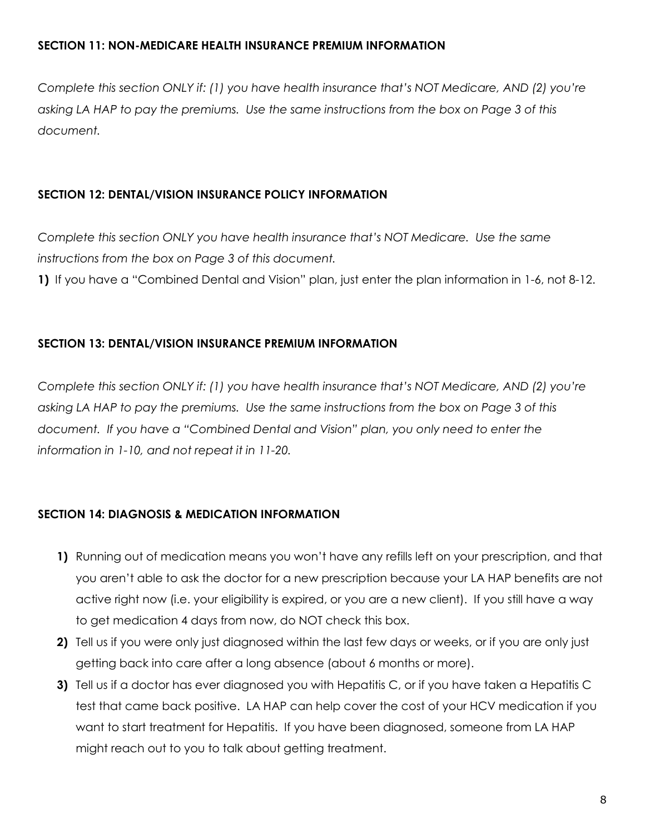#### <span id="page-7-0"></span>**SECTION 11: NON-MEDICARE HEALTH INSURANCE PREMIUM INFORMATION**

*Complete this section ONLY if: (1) you have health insurance that's NOT Medicare, AND (2) you're asking LA HAP to pay the premiums. Use the same instructions from the box on Page 3 of this document.*

### <span id="page-7-1"></span>**SECTION 12: DENTAL/VISION INSURANCE POLICY INFORMATION**

*Complete this section ONLY you have health insurance that's NOT Medicare. Use the same instructions from the box on Page 3 of this document.* 

**1)** If you have a "Combined Dental and Vision" plan, just enter the plan information in 1-6, not 8-12.

### <span id="page-7-2"></span>**SECTION 13: DENTAL/VISION INSURANCE PREMIUM INFORMATION**

*Complete this section ONLY if: (1) you have health insurance that's NOT Medicare, AND (2) you're asking LA HAP to pay the premiums. Use the same instructions from the box on Page 3 of this document. If you have a "Combined Dental and Vision" plan, you only need to enter the information in 1-10, and not repeat it in 11-20.*

### <span id="page-7-3"></span>**SECTION 14: DIAGNOSIS & MEDICATION INFORMATION**

- **1)** Running out of medication means you won't have any refills left on your prescription, and that you aren't able to ask the doctor for a new prescription because your LA HAP benefits are not active right now (i.e. your eligibility is expired, or you are a new client). If you still have a way to get medication 4 days from now, do NOT check this box.
- **2)** Tell us if you were only just diagnosed within the last few days or weeks, or if you are only just getting back into care after a long absence (about 6 months or more).
- **3)** Tell us if a doctor has ever diagnosed you with Hepatitis C, or if you have taken a Hepatitis C test that came back positive. LA HAP can help cover the cost of your HCV medication if you want to start treatment for Hepatitis. If you have been diagnosed, someone from LA HAP might reach out to you to talk about getting treatment.